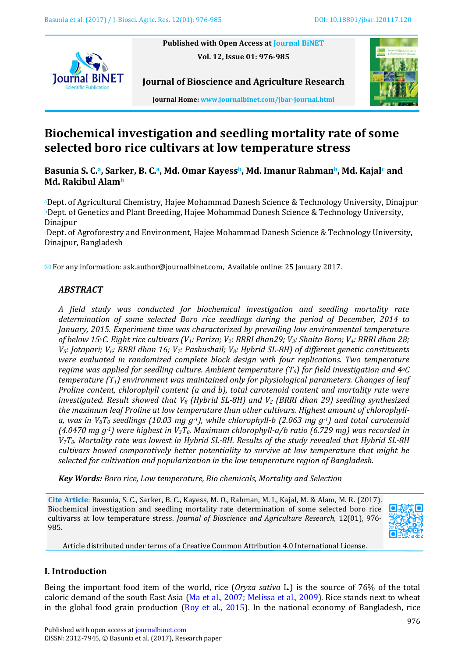**Published with Open Access at Journal BiNET Vol. 12, Issue 01: 976-985**





**Journal Home: www.journalbinet.com/jbar-journal.html**

**Journal of Bioscience and Agriculture Research**

# **Biochemical investigation and seedling mortality rate of some selected boro rice cultivars at low temperature stress**

**Basunia S. C. <sup>a</sup>, Sarker, B. C.a, Md. Omar Kayessb, Md. Imanur Rahmanb, Md. Kajal<sup>c</sup> and Md. Rakibul Alam<sup>b</sup>**

<sup>a</sup>Dept. of Agricultural Chemistry, Hajee Mohammad Danesh Science & Technology University, Dinajpur <sup>b</sup>Dept. of Genetics and Plant Breeding, Hajee Mohammad Danesh Science & Technology University, Dinajpur

<sup>c</sup>Dept. of Agroforestry and Environment, Hajee Mohammad Danesh Science & Technology University, Dinajpur, Bangladesh

 $\boxtimes$  For any information: ask.author@journalbinet.com, Available online: 25 January 2017.

# *ABSTRACT*

*A field study was conducted for biochemical investigation and seedling mortality rate determination of some selected Boro rice seedlings during the period of December, 2014 to January, 2015. Experiment time was characterized by prevailing low environmental temperature of below 15oC. Eight rice cultivars (V1: Pariza; V2: BRRI dhan29; V3: Shaita Boro; V4: BRRI dhan 28; V5: Jotapari; V6: BRRI dhan 16; V7: Pashushail; V8: Hybrid SL-8H) of different genetic constituents were evaluated in randomized complete block design with four replications. Two temperature regime was applied for seedling culture. Ambient temperature (T0) for field investigation and 4oC temperature (T1) environment was maintained only for physiological parameters. Changes of leaf Proline content, chlorophyll content (a and b), total carotenoid content and mortality rate were investigated. Result showed that V<sup>8</sup> (Hybrid SL-8H) and V<sup>2</sup> (BRRI dhan 29) seedling synthesized the maximum leaf Proline at low temperature than other cultivars. Highest amount of chlorophylla, was in V8T<sup>0</sup> seedlings (10.03 mg g-1), while chlorophyll-b (2.063 mg g-1) and total carotenoid (4.0470 mg g-1) were highest in V3T0. Maximum chlorophyll-a/b ratio (6.729 mg) was recorded in V7T0. Mortality rate was lowest in Hybrid SL-8H. Results of the study revealed that Hybrid SL-8H cultivars howed comparatively better potentiality to survive at low temperature that might be selected for cultivation and popularization in the low temperature region of Bangladesh.* 

*Key Words: Boro rice, Low temperature, Bio chemicals, Mortality and Selection*

**Cite Article**: Basunia, S. C., Sarker, B. C., Kayess, M. O., Rahman, M. I., Kajal, M. & Alam, M. R. (2017). Biochemical investigation and seedling mortality rate determination of some selected boro rice cultivarss at low temperature stress. *Journal of Bioscience and Agriculture Research,* 12(01), 976- 985.



Article distributed under terms of a Creative Common Attribution 4.0 International License.

# **I. Introduction**

Being the important food item of the world, rice (*Oryza sativa* L.) is the source of 76% of the total caloric demand of the south East Asia (Ma [et al., 2007;](#page-7-0) [Melissa et al., 2009\)](#page-7-1). Rice stands next to wheat in the global food grain production [\(Roy et al., 2015\)](#page-8-0). In the national economy of Bangladesh, rice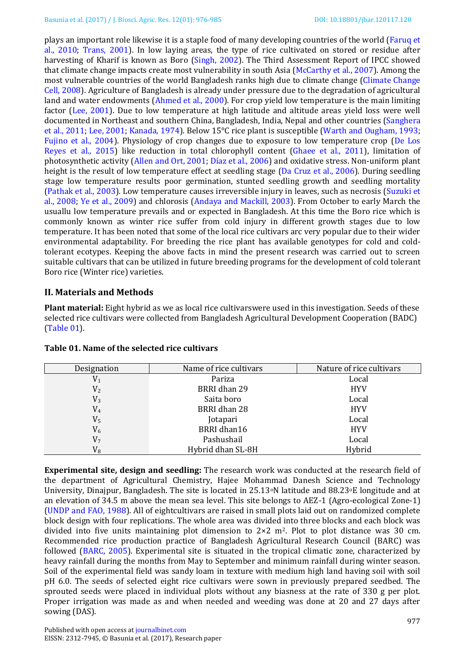plays an important role likewise it is a staple food of many developing countries of the world [\(Faruq et](#page-7-2)  [al., 2010;](#page-7-2) [Trans, 2001\)](#page-8-1). In low laying areas, the type of rice cultivated on stored or residue after harvesting of Kharif is known as Boro [\(Singh, 2002\)](#page-8-2). The Third Assessment Report of IPCC showed that climate change impacts create most vulnerability in south Asia [\(McCarthy et al., 2007\)](#page-7-3). Among the most vulnerable countries of the world Bangladesh ranks high due to climate change [\(Climate Change](#page-6-0)  [Cell, 2008\)](#page-6-0). Agriculture of Bangladesh is already under pressure due to the degradation of agricultural land and water endowments [\(Ahmed et al., 2000\)](#page-6-1). For crop yield low temperature is the main limiting factor [\(Lee, 2001\)](#page-7-4). Due to low temperature at high latitude and altitude areas yield loss were well documented in Northeast and southern China, Bangladesh, India, Nepal and other countries [\(Sanghera](#page-8-3)  [et al., 2011;](#page-8-3) [Lee, 2001;](#page-7-4) [Kanada, 1974\)](#page-7-5). Below 15°C rice plant is susceptible [\(Warth and Ougham, 1993;](#page-8-4) [Fujino et al., 2004\)](#page-7-6). Physiology of crop changes due to exposure to low temperature crop [\(De Los](#page-6-2)  [Reyes et al., 2015\)](#page-6-2) like reduction in total chlorophyll content [\(Ghaee et al., 2011\)](#page-7-7), limitation of photosynthetic activity [\(Allen and Ort, 2001;](#page-6-3) [Díaz et al., 2006\)](#page-6-4) and oxidative stress. Non-uniform plant height is the result of low temperature effect at seedling stage [\(Da Cruz et](#page-6-5) al., 2006). During seedling stage low temperature results poor germination, stunted seedling growth and seedling mortality [\(Pathak et al., 2003\)](#page-8-5). Low temperature causes irreversible injury in leaves, such as necrosis [\(Suzuki et](#page-8-6)  [al., 2008;](#page-8-6) [Ye et al., 2009\)](#page-8-7) and chlorosis [\(Andaya and Mackill, 2003\)](#page-6-6). From October to early March the usuallu low temperature prevails and or expected in Bangladesh. At this time the Boro rice which is commonly known as winter rice suffer from cold injury in different growth stages due to low temperature. It has been noted that some of the local rice cultivars arc very popular due to their wider environmental adaptability. For breeding the rice plant has available genotypes for cold and coldtolerant ecotypes. Keeping the above facts in mind the present research was carried out to screen suitable cultivars that can be utilized in future breeding programs for the development of cold tolerant Boro rice (Winter rice) varieties.

# **II. Materials and Methods**

**Plant material:** Eight hybrid as we as local rice cultivarswere used in this investigation. Seeds of these selected rice cultivars were collected from Bangladesh Agricultural Development Cooperation (BADC) [\(Table 01\)](#page-1-0).

| Designation    | Name of rice cultivars | Nature of rice cultivars |
|----------------|------------------------|--------------------------|
| $\mathrm{V}_1$ | Pariza                 | Local                    |
| V <sub>2</sub> | BRRI dhan 29           | <b>HYV</b>               |
| $V_3$          | Saita boro             | Local                    |
| $\rm V_4$      | BRRI dhan 28           | <b>HYV</b>               |
| $\rm V_5$      | Jotapari               | Local                    |
| $V_6$          | BRRI dhan16            | <b>HYV</b>               |
| V <sub>7</sub> | Pashushail             | Local                    |
| $\rm V_{8}$    | Hybrid dhan SL-8H      | Hybrid                   |

## <span id="page-1-0"></span>**Table 01. Name of the selected rice cultivars**

**Experimental site, design and seedling:** The research work was conducted at the research field of the department of Agricultural Chemistry, Hajee Mohammad Danesh Science and Technology University, Dinajpur, Bangladesh. The site is located in 25.13oN latitude and 88.23oE longitude and at an elevation of 34.5 m above the mean sea level. This site belongs to AEZ-1 (Agro-ecological Zone-1) [\(UNDP and FAO, 1988\)](#page-8-8). All of eightcultivars are raised in small plots laid out on randomized complete block design with four replications. The whole area was divided into three blocks and each block was divided into five units maintaining plot dimension to  $2\times 2$  m<sup>2</sup>. Plot to plot distance was 30 cm. Recommended rice production practice of Bangladesh Agricultural Research Council (BARC) was followed [\(BARC, 2005\)](#page-6-7). Experimental site is situated in the tropical climatic zone, characterized by heavy rainfall during the months from May to September and minimum rainfall during winter season. Soil of the experimental field was sandy loam in texture with medium high land having soil with soil pH 6.0. The seeds of selected eight rice cultivars were sown in previously prepared seedbed. The sprouted seeds were placed in individual plots without any biasness at the rate of 330 g per plot. Proper irrigation was made as and when needed and weeding was done at 20 and 27 days after sowing (DAS).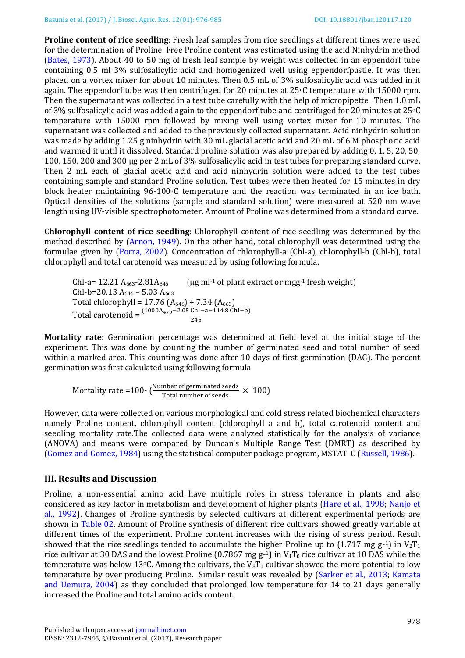**Proline content of rice seedling**: Fresh leaf samples from rice seedlings at different times were used for the determination of Proline. Free Proline content was estimated using the acid Ninhydrin method [\(Bates, 1973\)](#page-6-8). About 40 to 50 mg of fresh leaf sample by weight was collected in an eppendorf tube containing 0.5 ml 3% sulfosalicylic acid and homogenized well using eppendorfpastle. It was then placed on a vortex mixer for about 10 minutes. Then 0.5 mL of 3% sulfosalicylic acid was added in it again. The eppendorf tube was then centrifuged for 20 minutes at 25°C temperature with 15000 rpm. Then the supernatant was collected in a test tube carefully with the help of micropipette. Then 1.0 mL of 3% sulfosalicylic acid was added again to the eppendorf tube and centrifuged for 20 minutes at 25oC temperature with 15000 rpm followed by mixing well using vortex mixer for 10 minutes. The supernatant was collected and added to the previously collected supernatant. Acid ninhydrin solution was made by adding 1.25 g ninhydrin with 30 mL glacial acetic acid and 20 mL of 6 M phosphoric acid and warmed it until it dissolved. Standard proline solution was also prepared by adding 0, 1, 5, 20, 50, 100, 150, 200 and 300 µg per 2 mL of 3% sulfosalicylic acid in test tubes for preparing standard curve. Then 2 mL each of glacial acetic acid and acid ninhydrin solution were added to the test tubes containing sample and standard Proline solution. Test tubes were then heated for 15 minutes in dry block heater maintaining  $96-100\degree$ C temperature and the reaction was terminated in an ice bath. Optical densities of the solutions (sample and standard solution) were measured at 520 nm wave length using UV-visible spectrophotometer. Amount of Proline was determined from a standard curve.

**Chlorophyll content of rice seedling**: Chlorophyll content of rice seedling was determined by the method described by [\(Arnon, 1949\)](#page-6-9). On the other hand, total chlorophyll was determined using the formulae given by [\(Porra, 2002\)](#page-8-9). Concentration of chlorophyll-a (Chl-a), chlorophyll-b (Chl-b), total chlorophyll and total carotenoid was measured by using following formula.

Chl-a=  $12.21$   $A_{663}$ - $2.81A_{646}$  (µg ml<sup>-1</sup> of plant extract or mgg<sup>-1</sup> fresh weight) Chl-b=20.13 A<sub>646</sub> – 5.03 A<sub>663</sub> Total chlorophyll = 17.76  $(A<sub>646</sub>)$  + 7.34  $(A<sub>663</sub>)$ Total carotenoid = 245

**Mortality rate:** Germination percentage was determined at field level at the initial stage of the experiment. This was done by counting the number of germinated seed and total number of seed within a marked area. This counting was done after 10 days of first germination (DAG). The percent germination was first calculated using following formula.

Mortality rate =100-  $\left(\frac{\text{Number of germinated seeds}}{\text{Total number of seeds}} \times 100\right)$ 

However, data were collected on various morphological and cold stress related biochemical characters namely Proline content, chlorophyll content (chlorophyll a and b), total carotenoid content and seedling mortality rate.The collected data were analyzed statistically for the analysis of variance (ANOVA) and means were compared by Duncan's Multiple Range Test (DMRT) as described by [\(Gomez and Gomez, 1984\)](#page-7-8) using the statistical computer package program, MSTAT-C [\(Russell, 1986\)](#page-8-10).

#### **III. Results and Discussion**

Proline, a non-essential amino acid have multiple roles in stress tolerance in plants and also considered as key factor in metabolism and development of higher plants [\(Hare et al., 1998;](#page-7-9) [Nanjo et](#page-8-11)  [al., 1992\)](#page-8-11). Changes of Proline synthesis by selected cultivars at different experimental periods are shown in [Table 02.](#page-3-0) Amount of Proline synthesis of different rice cultivars showed greatly variable at different times of the experiment. Proline content increases with the rising of stress period. Result showed that the rice seedlings tended to accumulate the higher Proline up to  $(1.717 \text{ mg g-1})$  in  $V_2T_1$ rice cultivar at 30 DAS and the lowest Proline (0.7867 mg  $g$ -1) in  $V_1T_0$  rice cultivar at 10 DAS while the temperature was below 13 $\degree$ C. Among the cultivars, the V<sub>8</sub>T<sub>1</sub> cultivar showed the more potential to low temperature by over producing Proline. Similar result was revealed by [\(Sarker et al., 2013;](#page-8-12) [Kamata](#page-7-10)  [and Uemura, 2004\)](#page-7-10) as they concluded that prolonged low temperature for 14 to 21 days generally increased the Proline and total amino acids content.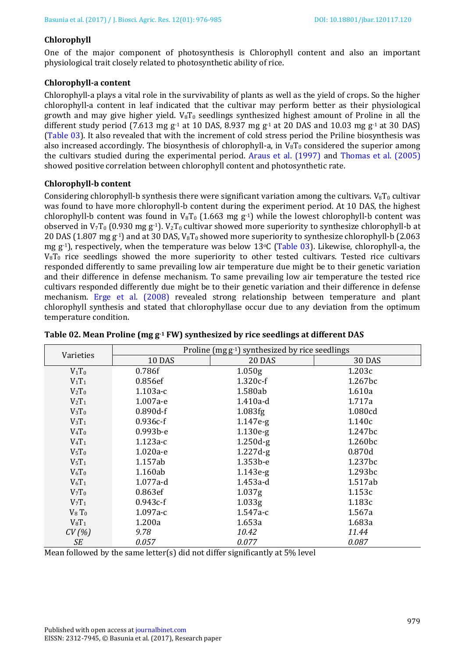## **Chlorophyll**

One of the major component of photosynthesis is Chlorophyll content and also an important physiological trait closely related to photosynthetic ability of rice.

## **Chlorophyll-a content**

Chlorophyll-a plays a vital role in the survivability of plants as well as the yield of crops. So the higher chlorophyll-a content in leaf indicated that the cultivar may perform better as their physiological growth and may give higher yield.  $V_8T_0$  seedlings synthesized highest amount of Proline in all the different study period (7.613 mg g<sup>-1</sup> at 10 DAS, 8.937 mg g<sup>-1</sup> at 20 DAS and 10.03 mg g<sup>-1</sup> at 30 DAS) [\(Table 03\)](#page-4-0). It also revealed that with the increment of cold stress period the Priline biosynthesis was also increased accordingly. The biosynthesis of chlorophyll-a, in  $V_8T_0$  considered the superior among the cultivars studied during the experimental period. [Araus et al. \(1997\)](#page-6-10) and [Thomas et al. \(2005\)](#page-8-13) showed positive correlation between chlorophyll content and photosynthetic rate.

## **Chlorophyll-b content**

Considering chlorophyll-b synthesis there were significant variation among the cultivars.  $V_8T_0$  cultivar was found to have more chlorophyll-b content during the experiment period. At 10 DAS, the highest chlorophyll-b content was found in  $V_8T_0$  (1.663 mg g<sup>-1</sup>) while the lowest chlorophyll-b content was observed in  $V_7T_0$  (0.930 mg g<sup>-1</sup>).  $V_2T_0$  cultivar showed more superiority to synthesize chlorophyll-b at 20 DAS (1.807 mg  $g^{-1}$ ) and at 30 DAS,  $V_8T_0$  showed more superiority to synthesize chlorophyll-b (2.063 mg g<sup>-1</sup>), respectively, when the temperature was below 13<sup>o</sup>C [\(Table 03\)](#page-4-0). Likewise, chlorophyll-a, the  $V_8T_0$  rice seedlings showed the more superiority to other tested cultivars. Tested rice cultivars responded differently to same prevailing low air temperature due might be to their genetic variation and their difference in defense mechanism. To same prevailing low air temperature the tested rice cultivars responded differently due might be to their genetic variation and their difference in defense mechanism. [Erge et al. \(2008\)](#page-6-11) revealed strong relationship between temperature and plant chlorophyll synthesis and stated that chlorophyllase occur due to any deviation from the optimum temperature condition.

| Varieties   | Proline $(mg g^{-1})$ synthesized by rice seedlings |                    |               |
|-------------|-----------------------------------------------------|--------------------|---------------|
|             | <b>10 DAS</b>                                       | 20 DAS             | <b>30 DAS</b> |
| $V_1T_0$    | 0.786f                                              | 1.050 <sub>g</sub> | 1.203c        |
| $V_1T_1$    | 0.856ef                                             | $1.320c-f$         | 1.267bc       |
| $V_2T_0$    | $1.103a-c$                                          | 1.580ab            | 1.610a        |
| $V_2T_1$    | $1.007a-e$                                          | $1.410a-d$         | 1.717a        |
| $V_3T_0$    | $0.890d-f$                                          | 1.083fg            | 1.080cd       |
| $V_3T_1$    | $0.936c-f$                                          | $1.147e-g$         | 1.140c        |
| $V_4T_0$    | $0.993b-e$                                          | $1.130e-g$         | 1.247bc       |
| $V_4T_1$    | $1.123a-c$                                          | $1.250d-g$         | 1.260bc       |
| $V_5T_0$    | 1.020a-e                                            | $1.227d-g$         | 0.870d        |
| $V_5T_1$    | 1.157ab                                             | 1.353b-e           | 1.237bc       |
| $V_6T_0$    | 1.160ab                                             | $1.143e-g$         | 1.293bc       |
| $V_6T_1$    | 1.077a-d                                            | 1.453a-d           | 1.517ab       |
| $V_7T_0$    | 0.863ef                                             | 1.037 <sub>g</sub> | 1.153c        |
| $V_7T_1$    | $0.943c-f$                                          | 1.033 <sub>g</sub> | 1.183c        |
| $V_8$ $T_0$ | $1.097a-c$                                          | $1.547a-c$         | 1.567a        |
| $V_8T_1$    | 1.200a                                              | 1.653a             | 1.683a        |
| CV(%)       | 9.78                                                | 10.42              | 11.44         |
| <b>SE</b>   | 0.057                                               | 0.077              | 0.087         |

<span id="page-3-0"></span>

|  |  | Table 02. Mean Proline (mg g <sup>-1</sup> FW) synthesized by rice seedlings at different DAS |
|--|--|-----------------------------------------------------------------------------------------------|
|--|--|-----------------------------------------------------------------------------------------------|

Mean followed by the same letter(s) did not differ significantly at 5% level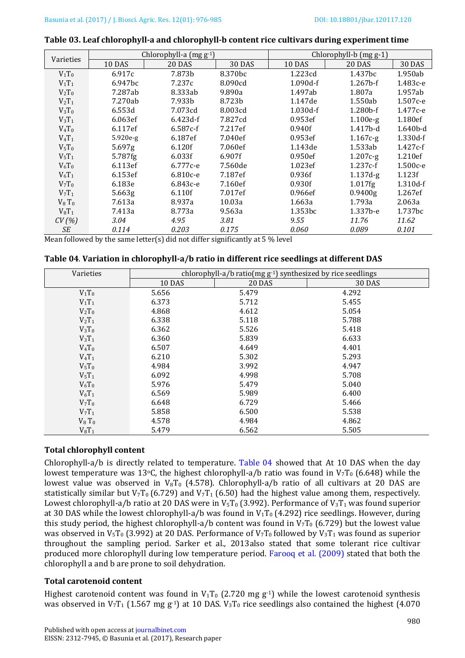#### <span id="page-4-0"></span>**Table 03. Leaf chlorophyll-a and chlorophyll-b content rice cultivars during experiment time**

|           | Chlorophyll-a (mg g-1) |               |                     | Chlorophyll-b (mg g-1) |                     |              |
|-----------|------------------------|---------------|---------------------|------------------------|---------------------|--------------|
| Varieties | 10 DAS                 | <b>20 DAS</b> | <b>30 DAS</b>       | 10 DAS                 | <b>20 DAS</b>       | 30 DAS       |
| $V_1T_0$  | 6.917c                 | 7.873b        | 8.370 <sub>bc</sub> | 1.223cd                | 1.437bc             | 1.950ab      |
| $V_1T_1$  | 6.947bc                | 7.237c        | 8.090cd             | $1.090d-f$             | $1.267b-f$          | 1.483с-е     |
| $V_2T_0$  | 7.287ab                | 8.333ab       | 9.890a              | 1.497ab                | 1.807a              | 1.957ab      |
| $V_2T_1$  | 7.270ab                | 7.933b        | 8.723b              | 1.147de                | 1.550ab             | $1.507c - e$ |
| $V_3T_0$  | 6.553d                 | 7.073cd       | 8.003cd             | $1.030d-f$             | $1.280b$ -f         | 1.477с-е     |
| $V_3T_1$  | 6.063ef                | $6.423d-f$    | 7.827cd             | 0.953ef                | $1.100e-g$          | 1.180ef      |
| $V_4T_0$  | 6.117ef                | $6.587c-f$    | 7.217ef             | 0.940f                 | $1.417b-d$          | $1.640b-d$   |
| $V_4T_1$  | $5.920e-g$             | 6.187ef       | 7.040ef             | 0.953ef                | $1.167c-g$          | 1.330d-f     |
| $V_5T_0$  | 5.697g                 | 6.120f        | 7.060ef             | 1.143de                | 1.533ab             | $1.427c-f$   |
| $V_5T_1$  | 5.787fg                | 6.033f        | 6.907f              | 0.950ef                | $1.207c-g$          | 1.210ef      |
| $V_6T_0$  | 6.113ef                | 6.777c-e      | 7.560de             | 1.023ef                | $1.237c-f$          | 1.500c-e     |
| $V_6T_1$  | 6.153ef                | $6.810c - e$  | 7.187ef             | 0.936f                 | $1.137d-g$          | 1.123f       |
| $V_7T_0$  | 6.183e                 | 6.843с-е      | 7.160ef             | 0.930f                 | 1.017fg             | $1.310d-f$   |
| $V_7T_1$  | 5.663g                 | 6.110f        | 7.017ef             | 0.966ef                | 0.9400 <sub>g</sub> | 1.267ef      |
| $V_8 T_0$ | 7.613a                 | 8.937a        | 10.03a              | 1.663a                 | 1.793a              | 2.063a       |
| $V_8T_1$  | 7.413a                 | 8.773a        | 9.563a              | 1.353bc                | $1.337b-e$          | 1.737bc      |
| CV(%)     | 3.04                   | 4.95          | 3.81                | 9.55                   | 11.76               | 11.62        |
| SЕ        | 0.114                  | 0.203         | 0.175               | 0.060                  | 0.089               | 0.101        |

Mean followed by the same letter(s) did not differ significantly at 5 % level

<span id="page-4-1"></span>

| Table 04. Variation in chlorophyll-a/b ratio in different rice seedlings at different DAS |  |  |  |
|-------------------------------------------------------------------------------------------|--|--|--|
|-------------------------------------------------------------------------------------------|--|--|--|

| Varieties   | chlorophyll-a/b ratio( $mg g^{-1}$ ) synthesized by rice seedlings |               |               |
|-------------|--------------------------------------------------------------------|---------------|---------------|
|             | 10 DAS                                                             | <b>20 DAS</b> | <b>30 DAS</b> |
| $V_1T_0$    | 5.656                                                              | 5.479         | 4.292         |
| $V_1T_1$    | 6.373                                                              | 5.712         | 5.455         |
| $V_2T_0$    | 4.868                                                              | 4.612         | 5.054         |
| $V_2T_1$    | 6.338                                                              | 5.118         | 5.788         |
| $V_3T_0$    | 6.362                                                              | 5.526         | 5.418         |
| $V_3T_1$    | 6.360                                                              | 5.839         | 6.633         |
| $V_4T_0$    | 6.507                                                              | 4.649         | 4.401         |
| $V_4T_1$    | 6.210                                                              | 5.302         | 5.293         |
| $V_5T_0$    | 4.984                                                              | 3.992         | 4.947         |
| $V_5T_1$    | 6.092                                                              | 4.998         | 5.708         |
| $V_6T_0$    | 5.976                                                              | 5.479         | 5.040         |
| $V_6T_1$    | 6.569                                                              | 5.989         | 6.400         |
| $V_7T_0$    | 6.648                                                              | 6.729         | 5.466         |
| $V_7T_1$    | 5.858                                                              | 6.500         | 5.538         |
| $V_8$ $T_0$ | 4.578                                                              | 4.984         | 4.862         |
| $V_8T_1$    | 5.479                                                              | 6.562         | 5.505         |

# **Total chlorophyll content**

Chlorophyll-a/b is directly related to temperature. [Table 04](#page-4-1) showed that At 10 DAS when the day lowest temperature was 13°C, the highest chlorophyll-a/b ratio was found in  $V_7T_0$  (6.648) while the lowest value was observed in  $V_8T_0$  (4.578). Chlorophyll-a/b ratio of all cultivars at 20 DAS are statistically similar but  $V_7T_0$  (6.729) and  $V_7T_1$  (6.50) had the highest value among them, respectively. Lowest chlorophyll-a/b ratio at 20 DAS were in  $V_5T_0$  (3.992). Performance of  $V_3T_1$  was found superior at 30 DAS while the lowest chlorophyll-a/b was found in  $V_1T_0$  (4.292) rice seedlings. However, during this study period, the highest chlorophyll-a/b content was found in  $V_7T_0$  (6.729) but the lowest value was observed in V<sub>5</sub>T<sub>0</sub> (3.992) at 20 DAS. Performance of V<sub>7</sub>T<sub>0</sub> followed by V<sub>3</sub>T<sub>1</sub> was found as superior throughout the sampling period. Sarker et al., 2013also stated that some tolerant rice cultivar produced more chlorophyll during low temperature period. [Farooq et al.](#page-7-11) (2009) stated that both the chlorophyll a and b are prone to soil dehydration.

# **Total carotenoid content**

Highest carotenoid content was found in  $V_1T_0$  (2.720 mg g<sup>-1</sup>) while the lowest carotenoid synthesis was observed in  $V_7T_1$  (1.567 mg g<sup>-1</sup>) at 10 DAS.  $V_3T_0$  rice seedlings also contained the highest (4.070)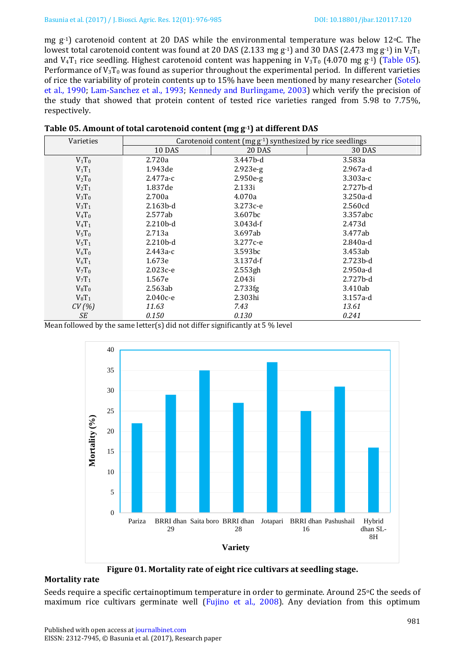mg  $g^{-1}$ ) carotenoid content at 20 DAS while the environmental temperature was below 12 °C. The lowest total carotenoid content was found at 20 DAS (2.133 mg g<sup>-1</sup>) and 30 DAS (2.473 mg g<sup>-1</sup>) in  $V_2$ T<sub>1</sub> and  $V_4T_1$  rice seedling. Highest carotenoid content was happening in  $V_3T_0$  (4.070 mg g<sup>-1</sup>) (Table 05). Performance of  $V_3T_0$  was found as superior throughout the experimental period. In different varieties of rice the variability of protein contents up to 15% have been mentioned by many researcher [\(Sotelo](#page-8-14)  [et al., 1990;](#page-8-14) [Lam-Sanchez et al., 1993;](#page-7-12) [Kennedy and Burlingame, 2003\)](#page-7-13) which verify the precision of the study that showed that protein content of tested rice varieties ranged from 5.98 to 7.75%, respectively.

| Varieties | Carotenoid content ( $mgg^{-1}$ ) synthesized by rice seedlings |               |               |
|-----------|-----------------------------------------------------------------|---------------|---------------|
|           | 10 DAS                                                          | <b>20 DAS</b> | <b>30 DAS</b> |
| $V_1T_0$  | 2.720a                                                          | 3.447b-d      | 3.583a        |
| $V_1T_1$  | 1.943de                                                         | $2.923e-g$    | $2.967a-d$    |
| $V_2T_0$  | $2.477a-c$                                                      | $2.950e-g$    | $3.303a-c$    |
| $V_2T_1$  | 1.837de                                                         | 2.133i        | $2.727b-d$    |
| $V_3T_0$  | 2.700a                                                          | 4.070a        | $3.250a-d$    |
| $V_3T_1$  | $2.163b-d$                                                      | 3.273с-е      | 2.560cd       |
| $V_4T_0$  | 2.577ab                                                         | 3.607bc       | 3.357abc      |
| $V_4T_1$  | $2.210b-d$                                                      | $3.043d-f$    | 2.473d        |
| $V_5T_0$  | 2.713a                                                          | 3.697ab       | 3.477ab       |
| $V_5T_1$  | $2.210b-d$                                                      | 3.277c-e      | 2.840a-d      |
| $V_6T_0$  | $2.443a-c$                                                      | 3.593bc       | 3.453ab       |
| $V_6T_1$  | 1.673e                                                          | $3.137d-f$    | $2.723b-d$    |
| $V_7T_0$  | $2.023c - e$                                                    | 2.553gh       | $2.950a-d$    |
| $V_7T_1$  | 1.567e                                                          | 2.043i        | $2.727b-d$    |
| $V_8T_0$  | 2.563ab                                                         | 2.733fg       | 3.410ab       |
| $V_8T_1$  | $2.040c - e$                                                    | 2.303hi       | $3.157a-d$    |
| CV(%)     | 11.63                                                           | 7.43          | 13.61         |
| SE        | 0.150                                                           | 0.130         | 0.241         |

| Table 05. Amount of total carotenoid content (mg g <sup>-1</sup> ) at different DAS |  |
|-------------------------------------------------------------------------------------|--|
|                                                                                     |  |

Mean followed by the same letter(s) did not differ significantly at 5 % level



**Figure 01. Mortality rate of eight rice cultivars at seedling stage.**

## <span id="page-5-0"></span>**Mortality rate**

Seeds require a specific certainoptimum temperature in order to germinate. Around 25 °C the seeds of maximum rice cultivars germinate well [\(Fujino et al.,](#page-7-14) 2008). Any deviation from this optimum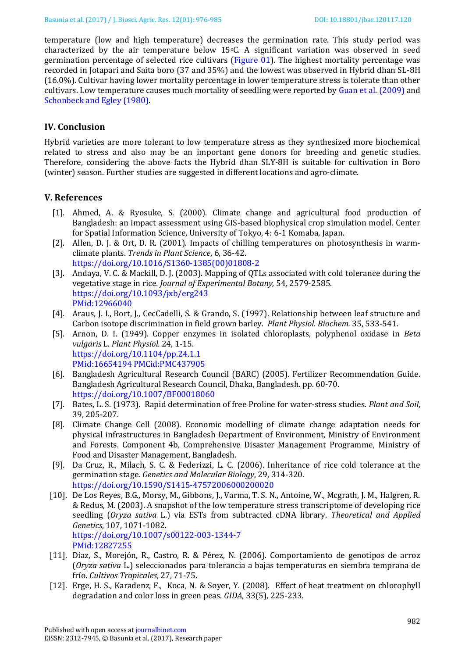temperature (low and high temperature) decreases the germination rate. This study period was characterized by the air temperature below  $15\degree$ C. A significant variation was observed in seed germination percentage of selected rice cultivars [\(Figure 01\)](#page-5-0). The highest mortality percentage was recorded in Jotapari and Saita boro (37 and 35%) and the lowest was observed in Hybrid dhan SL-8H (16.0%). Cultivar having lower mortality percentage in lower temperature stress is tolerate than other cultivars. Low temperature causes much mortality of seedling were reported by [Guan et al. \(2009\)](#page-7-15) and Schonbeck [and Egley \(1980\).](#page-8-15)

## **IV. Conclusion**

Hybrid varieties are more tolerant to low temperature stress as they synthesized more biochemical related to stress and also may be an important gene donors for breeding and genetic studies. Therefore, considering the above facts the Hybrid dhan SLY-8H is suitable for cultivation in Boro (winter) season. Further studies are suggested in different locations and agro-climate.

## **V. References**

- <span id="page-6-1"></span>[1]. Ahmed, A. & Ryosuke, S. (2000). Climate change and agricultural food production of Bangladesh: an impact assessment using GIS-based biophysical crop simulation model. Center for Spatial Information Science, University of Tokyo, 4: 6-1 Komaba, Japan.
- <span id="page-6-3"></span>[2]. Allen, D. J. & Ort, D. R. (2001). Impacts of chilling temperatures on photosynthesis in warmclimate plants. *Trends in Plant Science*, 6, 36-42. [https://doi.org/10.1016/S1360-1385\(00\)01808-2](https://doi.org/10.1016/S1360-1385(00)01808-2)
- <span id="page-6-6"></span>[3]. Andaya, V. C. & Mackill, D. J. (2003). Mapping of QTLs associated with cold tolerance during the vegetative stage in rice*. Journal of Experimental Botany,* 54, 2579-2585. <https://doi.org/10.1093/jxb/erg243> PMid:12966040
- <span id="page-6-10"></span>[4]. Araus, J. I., Bort, J., CecCadelli, S. & Grando, S. (1997). Relationship between leaf structure and Carbon isotope discrimination in field grown barley. *Plant Physiol. Biochem.* 35, 533-541.
- <span id="page-6-9"></span>[5]. Arnon, D. I. (1949). Copper enzymes in isolated chloroplasts, polyphenol oxidase in *Beta vulgaris* L. *Plant Physiol.* 24, 1-15. <https://doi.org/10.1104/pp.24.1.1> PMid:16654194 PMCid:PMC437905
- <span id="page-6-7"></span>[6]. Bangladesh Agricultural Research Council (BARC) (2005). Fertilizer Recommendation Guide. Bangladesh Agricultural Research Council, Dhaka, Bangladesh. pp. 60-70. <https://doi.org/10.1007/BF00018060>
- <span id="page-6-8"></span>[7]. Bates, L. S. (1973). Rapid determination of free Proline for water-stress studies. *Plant and Soil*, 39, 205-207.
- <span id="page-6-0"></span>[8]. Climate Change Cell (2008). Economic modelling of climate change adaptation needs for physical infrastructures in Bangladesh Department of Environment, Ministry of Environment and Forests. Component 4b, Comprehensive Disaster Management Programme, Ministry of Food and Disaster Management, Bangladesh.
- <span id="page-6-5"></span>[9]. Da Cruz, R., Milach, S. C. & Federizzi, L. C. (2006). Inheritance of rice cold tolerance at the germination stage. *Genetics and Molecular Biology*, 29, 314-320. <https://doi.org/10.1590/S1415-47572006000200020>
- <span id="page-6-2"></span>[10]. De Los Reyes, B.G., Morsy, M., Gibbons, J., Varma, T. S. N., Antoine, W., Mcgrath, J. M., Halgren, R. & Redus, M. (2003). A snapshot of the low temperature stress transcriptome of developing rice seedling (*Oryza sativa* L.) via ESTs from subtracted cDNA library. *Theoretical and Applied Genetics*, 107, 1071-1082. <https://doi.org/10.1007/s00122-003-1344-7>

PMid:12827255

- <span id="page-6-4"></span>[11]. Díaz, S., Morejón, R., Castro, R. & Pérez, N. (2006). Comportamiento de genotipos de arroz (*Oryza sativa* L.) seleccionados para tolerancia a bajas temperaturas en siembra temprana de frío. *Cultivos Tropicales*, 27, 71-75.
- <span id="page-6-11"></span>[12]. Erge, H. S., Karadenz, F., Koca, N. & Soyer, Y. (2008). Effect of heat treatment on chlorophyll degradation and color loss in green peas. *GIDA*, 33(5), 225-233.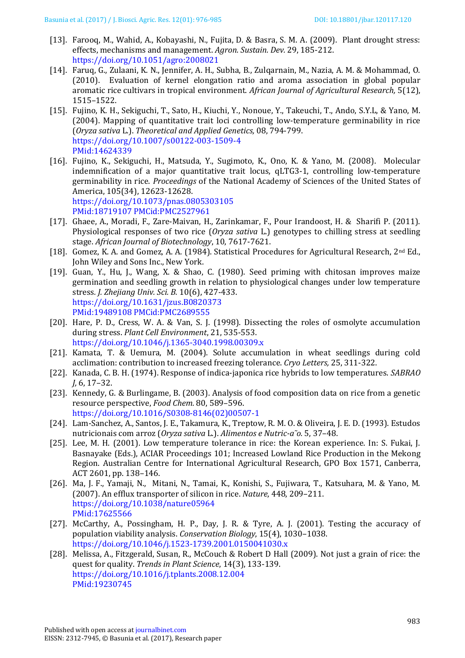- <span id="page-7-11"></span>[13]. Farooq, M., Wahid, A., Kobayashi, N., Fujita, D. & Basra, S. M. A. (2009). Plant drought stress: effects, mechanisms and management. *Agron. Sustain. Dev.* 29, 185-212. <https://doi.org/10.1051/agro:2008021>
- <span id="page-7-2"></span>[14]. Faruq, G., Zulaani, K. N., Jennifer, A. H., Subha, B., Zulqarnain, M., Nazia, A. M. & Mohammad, O. (2010). Evaluation of kernel elongation ratio and aroma association in global popular aromatic rice cultivars in tropical environment. *African Journal of Agricultural Research,* 5(12), 1515–1522.
- <span id="page-7-6"></span>[15]. Fujino, K. H., Sekiguchi, T., Sato, H., Kiuchi, Y., Nonoue, Y., Takeuchi, T., Ando, S.Y.L, & Yano, M. (2004). Mapping of quantitative trait loci controlling low-temperature germinability in rice (*Oryza sativa* L.). *Theoretical and Applied Genetics,* 08, 794-799. <https://doi.org/10.1007/s00122-003-1509-4> PMid:14624339
- <span id="page-7-14"></span>[16]. Fujino, K., Sekiguchi, H., Matsuda, Y., Sugimoto, K., Ono, K. & Yano, M. (2008). Molecular indemnification of a major quantitative trait locus, qLTG3-1, controlling low-temperature germinability in rice. *Proceedings* of the National Academy of Sciences of the United States of America, 105(34), 12623-12628. <https://doi.org/10.1073/pnas.0805303105> PMid:18719107 PMCid:PMC2527961
- <span id="page-7-7"></span>[17]. Ghaee, A., Moradi, F., Zare-Maivan, H., Zarinkamar, F., Pour Irandoost, H. & Sharifi P. (2011). Physiological responses of two rice (*Oryza sativa* L.) genotypes to chilling stress at seedling stage. *African Journal of Biotechnology*, 10, 7617-7621.
- <span id="page-7-8"></span>[18]. Gomez, K. A. and Gomez, A. A. (1984). Statistical Procedures for Agricultural Research, 2<sup>nd</sup> Ed., John Wiley and Sons Inc., New York.
- <span id="page-7-15"></span>[19]. Guan, Y., Hu, J., Wang, X. & Shao, C. (1980). Seed priming with chitosan improves maize germination and seedling growth in relation to physiological changes under low temperature stress*. J. Zhejiang Univ. Sci. B.* 10(6), 427-433. <https://doi.org/10.1631/jzus.B0820373> PMid:19489108 PMCid:PMC2689555
- <span id="page-7-9"></span>[20]. Hare, P. D., Cress, W. A. & Van, S. J. (1998). Dissecting the roles of osmolyte accumulation during stress. *Plant Cell Environment*, 21, 535-553. <https://doi.org/10.1046/j.1365-3040.1998.00309.x>
- <span id="page-7-10"></span>[21]. Kamata, T. & Uemura, M. (2004). Solute accumulation in wheat seedlings during cold acclimation: contribution to increased freezing tolerance. *Cryo Letters,* 25, 311-322.
- <span id="page-7-5"></span>[22]. Kanada, C. B. H. (1974). Response of indica-japonica rice hybrids to low temperatures. *SABRAO J,* 6, 17–32.
- <span id="page-7-13"></span>[23]. Kennedy, G. & Burlingame, B. (2003). Analysis of food composition data on rice from a genetic resource perspective, *Food Chem.* 80, 589–596. [https://doi.org/10.1016/S0308-8146\(02\)00507-1](https://doi.org/10.1016/S0308-8146(02)00507-1)
- <span id="page-7-12"></span>[24]. Lam-Sanchez, A., Santos, J. E., Takamura, K., Treptow, R. M. O. & Oliveira, J. E. D. (1993). Estudos nutricionais com arroz (*Oryza sativa* L.). *Alimentos e Nutric-a˜o.* 5, 37–48.
- <span id="page-7-4"></span>[25]. Lee, M. H. (2001). Low temperature tolerance in rice: the Korean experience. In: S. Fukai, J. Basnayake (Eds.), ACIAR Proceedings 101; Increased Lowland Rice Production in the Mekong Region. Australian Centre for International Agricultural Research, GPO Box 1571, Canberra, ACT 2601, pp. 138–146.
- <span id="page-7-0"></span>[26]. Ma, J. F., Yamaji, N., Mitani, N., Tamai, K., Konishi, S., Fujiwara, T., Katsuhara, M. & Yano, M. (2007). An efflux transporter of silicon in rice. *Nature*, 448, 209–211. <https://doi.org/10.1038/nature05964> PMid:17625566
- <span id="page-7-3"></span>[27]. McCarthy, A., Possingham, H. P., Day, J. R. & Tyre, A. J. (2001). Testing the accuracy of population viability analysis. *Conservation Biology*, 15(4), 1030–1038. <https://doi.org/10.1046/j.1523-1739.2001.0150041030.x>
- <span id="page-7-1"></span>[28]. Melissa, A., Fitzgerald, Susan, R., McCouch & Robert D Hall (2009). Not just a grain of rice: the quest for quality. *Trends in Plant Science*, 14(3), 133-139. <https://doi.org/10.1016/j.tplants.2008.12.004> PMid:19230745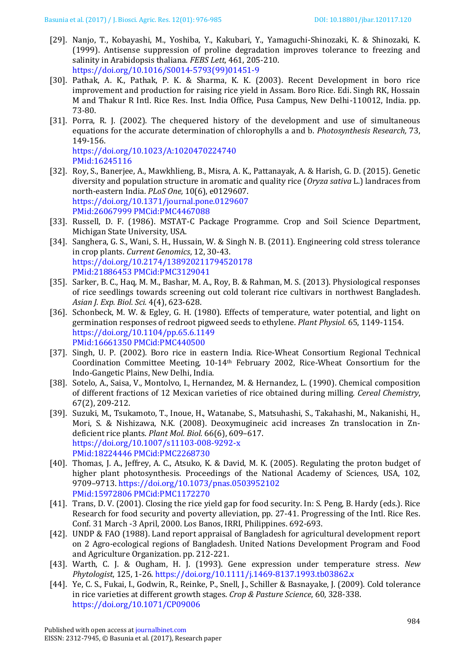- <span id="page-8-11"></span>[29]. Nanjo, T., Kobayashi, M., Yoshiba, Y., Kakubari, Y., Yamaguchi-Shinozaki, K. & Shinozaki, K. (1999). Antisense suppression of proline degradation improves tolerance to freezing and salinity in Arabidopsis thaliana. *FEBS Lett,* 461, 205-210. [https://doi.org/10.1016/S0014-5793\(99\)01451-9](https://doi.org/10.1016/S0014-5793(99)01451-9)
- <span id="page-8-5"></span>[30]. Pathak, A. K., Pathak, P. K. & Sharma, K. K. (2003). Recent Development in boro rice improvement and production for raising rice yield in Assam. Boro Rice. Edi. Singh RK, Hossain M and Thakur R Intl. Rice Res. Inst. India Office, Pusa Campus, New Delhi-110012, India. pp. 73-80.
- <span id="page-8-9"></span>[31]. Porra, R. J. (2002). The chequered history of the development and use of simultaneous equations for the accurate determination of chlorophylls a and b. *Photosynthesis Research,* 73, 149-156. <https://doi.org/10.1023/A:1020470224740>

PMid:16245116

- <span id="page-8-0"></span>[32]. Roy, S., Banerjee, A., Mawkhlieng, B., Misra, A. K., Pattanayak, A. & Harish, G. D. (2015). Genetic diversity and population structure in aromatic and quality rice (*Oryza sativa* L.) landraces from north-eastern India. *PLoS One,* 10(6), e0129607. <https://doi.org/10.1371/journal.pone.0129607> PMid:26067999 PMCid:PMC4467088
- <span id="page-8-10"></span>[33]. Russell, D. F. (1986). MSTAT-C Package Programme. Crop and Soil Science Department, Michigan State University, USA.
- <span id="page-8-3"></span>[34]. Sanghera, G. S., Wani, S. H., Hussain, W. & Singh N. B. (2011). Engineering cold stress tolerance in crop plants. *Current Genomics*, 12, 30-43. <https://doi.org/10.2174/138920211794520178> PMid:21886453 PMCid:PMC3129041
- <span id="page-8-12"></span>[35]. Sarker, B. C., Haq, M. M., Bashar, M. A., Roy, B. & Rahman, M. S. (2013). Physiological responses of rice seedlings towards screening out cold tolerant rice cultivars in northwest Bangladesh. *Asian J. Exp. Biol. Sci.* 4(4), 623-628.
- <span id="page-8-15"></span>[36]. Schonbeck, M. W. & Egley, G. H. (1980). Effects of temperature, water potential, and light on germination responses of redroot pigweed seeds to ethylene. *Plant Physiol.* 65, 1149-1154. <https://doi.org/10.1104/pp.65.6.1149> PMid:16661350 PMCid:PMC440500
- <span id="page-8-2"></span>[37]. Singh, U. P. (2002). Boro rice in eastern India. Rice-Wheat Consortium Regional Technical Coordination Committee Meeting, 10-14th February 2002, Rice-Wheat Consortium for the Indo-Gangetic Plains, New Delhi, India.
- <span id="page-8-14"></span>[38]. Sotelo, A., Saisa, V., Montolvo, I., Hernandez, M. & Hernandez, L. (1990). Chemical composition of different fractions of 12 Mexican varieties of rice obtained during milling. *Cereal Chemistry*, 67(2), 209-212.
- <span id="page-8-6"></span>[39]. Suzuki, M., Tsukamoto, T., Inoue, H., Watanabe, S., Matsuhashi, S., Takahashi, M., Nakanishi, H., Mori, S. & Nishizawa, N.K. (2008). Deoxymugineic acid increases Zn translocation in Zndeficient rice plants. *Plant Mol. Biol.* 66(6), 609–617. <https://doi.org/10.1007/s11103-008-9292-x> PMid:18224446 PMCid:PMC2268730
- <span id="page-8-13"></span>[40]. Thomas, J. A., Jeffrey, A. C., Atsuko, K. & David, M. K. (2005). Regulating the proton budget of higher plant photosynthesis. Proceedings of the National Academy of Sciences, USA, 102, 9709–9713. <https://doi.org/10.1073/pnas.0503952102> PMid:15972806 PMCid:PMC1172270
- <span id="page-8-1"></span>[41]. Trans, D. V. (2001). Closing the rice yield gap for food security. In: S. Peng, B. Hardy (eds.). Rice Research for food security and poverty alleviation, pp. 27-41. Progressing of the Intl. Rice Res. Conf. 31 March -3 April, 2000. Los Banos, IRRI, Philippines. 692-693.
- <span id="page-8-8"></span>[42]. UNDP & FAO (1988). Land report appraisal of Bangladesh for agricultural development report on 2 Agro-ecological regions of Bangladesh. United Nations Development Program and Food and Agriculture Organization. pp. 212-221.
- <span id="page-8-4"></span>[43]. Warth, C. J. & Ougham, H. J. (1993). Gene expression under temperature stress. *New Phytologist*, 125, 1-26. <https://doi.org/10.1111/j.1469-8137.1993.tb03862.x>
- <span id="page-8-7"></span>[44]. Ye, C. S., Fukai, I., Godwin, R., Reinke, P., Snell, J., Schiller & Basnayake, J. (2009). Cold tolerance in rice varieties at different growth stages. *Crop & Pasture Science*, 60, 328-338. <https://doi.org/10.1071/CP09006>